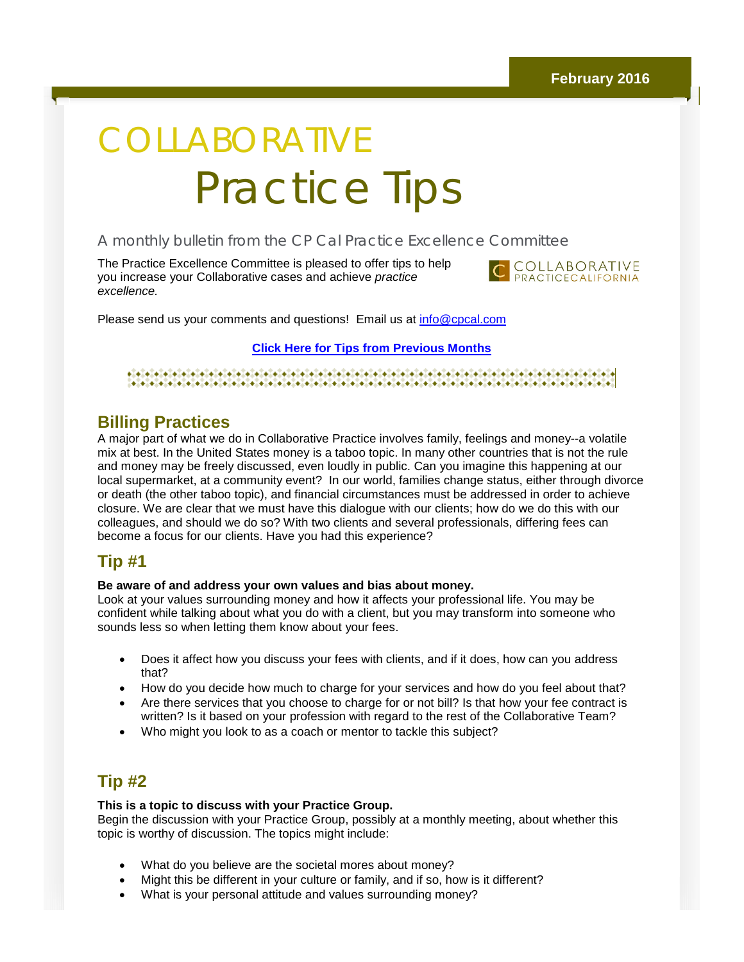# COLLABORATIVE Practice Tips

### A monthly bulletin from the CP Cal Practice Excellence Committee

The Practice Excellence Committee is pleased to offer tips to help you increase your Collaborative cases and achieve *practice excellence.*



Please send us your comments and questions! Email us at [info@cpcal.com](mailto:info@cpcal.com)

**[Click Here for Tips from Previous Months](http://r20.rs6.net/tn.jsp?f=001T9xVspiARnYPzJkkDFQZXm9RbHfiu_vnQbkqvmjWSSLgvfiiThhXvkJcanRn4OcGmF54rtAsO2_X4qMgkOeYLZ8FzRzAKFh_t-O8NRJZjSX6PbAFrOpCufFyME59BcB_x71CAISaLXZXadUJzZ4IENr5LpDEGTl2uq9068784-OMDoXY-9Cj2oe3wiuw9whcw15Q3WBNjJisBktqJ52asSjp-ombCgsu_OyMbaVuxvyxO_8FSZZOXg==&c=&ch=)**

#### <u> electricitate alectricitate alectricitate alectricitate alectricitate alectricitate alectricitate alectricit</u>

## **Billing Practices**

A major part of what we do in Collaborative Practice involves family, feelings and money--a volatile mix at best. In the United States money is a taboo topic. In many other countries that is not the rule and money may be freely discussed, even loudly in public. Can you imagine this happening at our local supermarket, at a community event? In our world, families change status, either through divorce or death (the other taboo topic), and financial circumstances must be addressed in order to achieve closure. We are clear that we must have this dialogue with our clients; how do we do this with our colleagues, and should we do so? With two clients and several professionals, differing fees can become a focus for our clients. Have you had this experience?

## **Tip #1**

#### **Be aware of and address your own values and bias about money.**

Look at your values surrounding money and how it affects your professional life. You may be confident while talking about what you do with a client, but you may transform into someone who sounds less so when letting them know about your fees.

- Does it affect how you discuss your fees with clients, and if it does, how can you address that?
- How do you decide how much to charge for your services and how do you feel about that?
- Are there services that you choose to charge for or not bill? Is that how your fee contract is written? Is it based on your profession with regard to the rest of the Collaborative Team?
- Who might you look to as a coach or mentor to tackle this subject?

# **Tip #2**

#### **This is a topic to discuss with your Practice Group.**

Begin the discussion with your Practice Group, possibly at a monthly meeting, about whether this topic is worthy of discussion. The topics might include:

- What do you believe are the societal mores about money?
- Might this be different in your culture or family, and if so, how is it different?
- What is your personal attitude and values surrounding money?